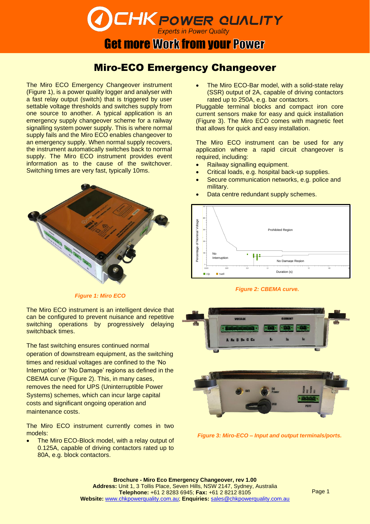# **CHK POWER QUALITY**

## **Get more Work from your Power**

### Miro-ECO Emergency Changeover

The Miro ECO Emergency Changeover instrument (Figure 1), is a power quality logger and analyser with a fast relay output (switch) that is triggered by user settable voltage thresholds and switches supply from one source to another. A typical application is an emergency supply changeover scheme for a railway signalling system power supply. This is where normal supply fails and the Miro ECO enables changeover to an emergency supply. When normal supply recovers, the instrument automatically switches back to normal supply. The Miro ECO instrument provides event information as to the cause of the switchover. Switching times are very fast, typically 10ms.



*Figure 1: Miro ECO* 

The Miro ECO instrument is an intelligent device that can be configured to prevent nuisance and repetitive switching operations by progressively delaying switchback times.

The fast switching ensures continued normal operation of downstream equipment, as the switching times and residual voltages are confined to the 'No Interruption' or 'No Damage' regions as defined in the CBEMA curve (Figure 2). This, in many cases, removes the need for UPS (Uninterruptible Power Systems) schemes, which can incur large capital costs and significant ongoing operation and maintenance costs.

The Miro ECO instrument currently comes in two models:

The Miro ECO-Block model, with a relay output of 0.125A, capable of driving contactors rated up to 80A, e.g. block contactors.

The Miro ECO-Bar model, with a solid-state relay (SSR) output of 2A, capable of driving contactors rated up to 250A, e.g. bar contactors.

Pluggable terminal blocks and compact iron core current sensors make for easy and quick installation (Figure 3). The Miro ECO comes with magnetic feet that allows for quick and easy installation.

The Miro ECO instrument can be used for any application where a rapid circuit changeover is required, including:

- Railway signalling equipment.
- Critical loads, e.g. hospital back-up supplies.
- Secure communication networks, e.g. police and military.
- Data centre redundant supply schemes.